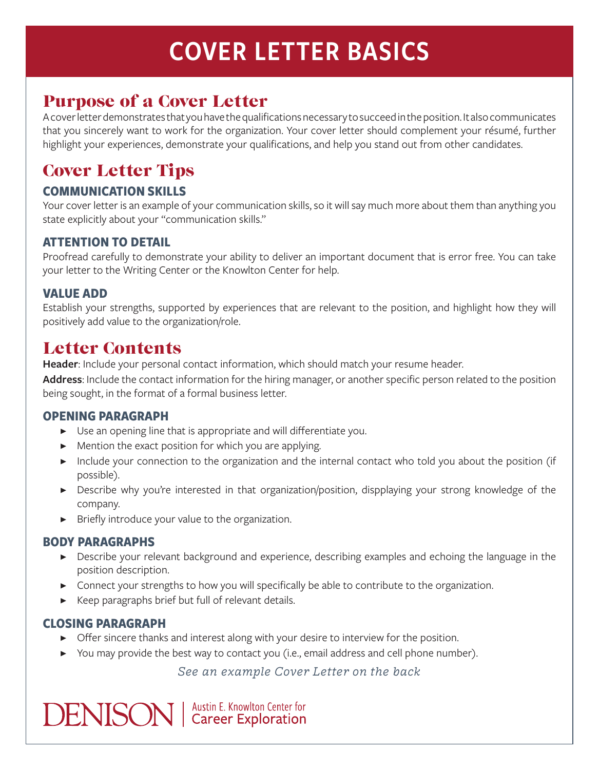# COVER LETTER BASICS

## Purpose of a Cover Letter

A cover letter demonstrates that you have the qualifications necessary to succeed in the position. It also communicates that you sincerely want to work for the organization. Your cover letter should complement your résumé, further highlight your experiences, demonstrate your qualifications, and help you stand out from other candidates.

# Cover Letter Tips

#### **COMMUNICATION SKILLS**

Your cover letter is an example of your communication skills, so it will say much more about them than anything you state explicitly about your "communication skills."

#### **ATTENTION TO DETAIL**

Proofread carefully to demonstrate your ability to deliver an important document that is error free. You can take your letter to the Writing Center or the Knowlton Center for help.

#### **VALUE ADD**

Establish your strengths, supported by experiences that are relevant to the position, and highlight how they will positively add value to the organization/role.

### Letter Contents

**Header**: Include your personal contact information, which should match your resume header.

**Address**: Include the contact information for the hiring manager, or another specific person related to the position being sought, in the format of a formal business letter.

#### **OPENING PARAGRAPH**

- ▶ Use an opening line that is appropriate and will differentiate you.
- ▶ Mention the exact position for which you are applying.
- ▶ Include your connection to the organization and the internal contact who told you about the position (if possible).
- ▶ Describe why you're interested in that organization/position, dispplaying your strong knowledge of the company.
- ▶ Briefly introduce your value to the organization.

#### **BODY PARAGRAPHS**

- ▶ Describe your relevant background and experience, describing examples and echoing the language in the position description.
- ▶ Connect your strengths to how you will specifically be able to contribute to the organization.
- ▶ Keep paragraphs brief but full of relevant details.

#### **CLOSING PARAGRAPH**

- ▶ Offer sincere thanks and interest along with your desire to interview for the position.
- ▶ You may provide the best way to contact you (i.e., email address and cell phone number).

*See an example Cover Letter on the back*

**DENISON** | Austin E. Knowlton Center for